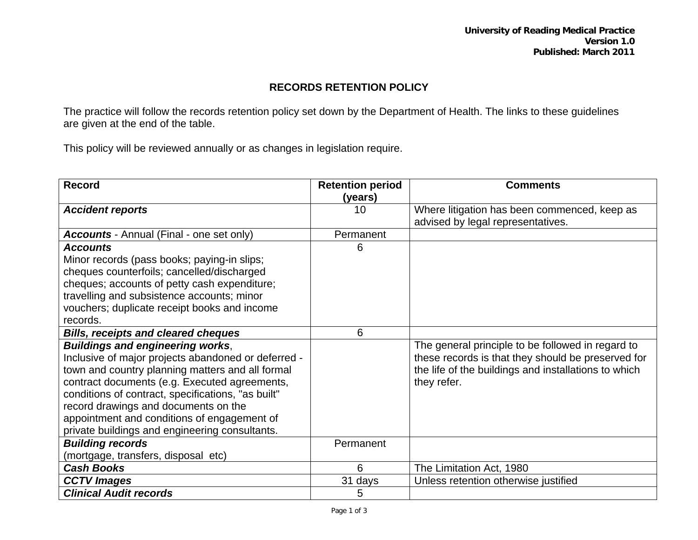## **RECORDS RETENTION POLICY**

The practice will follow the records retention policy set down by the Department of Health. The links to these guidelines are given at the end of the table.

This policy will be reviewed annually or as changes in legislation require.

| <b>Record</b>                                       | <b>Retention period</b> | <b>Comments</b>                                      |
|-----------------------------------------------------|-------------------------|------------------------------------------------------|
|                                                     | (years)                 |                                                      |
| <b>Accident reports</b>                             | 10                      | Where litigation has been commenced, keep as         |
|                                                     |                         | advised by legal representatives.                    |
| <b>Accounts</b> - Annual (Final - one set only)     | Permanent               |                                                      |
| <b>Accounts</b>                                     | 6                       |                                                      |
| Minor records (pass books; paying-in slips;         |                         |                                                      |
| cheques counterfoils; cancelled/discharged          |                         |                                                      |
| cheques; accounts of petty cash expenditure;        |                         |                                                      |
| travelling and subsistence accounts; minor          |                         |                                                      |
| vouchers; duplicate receipt books and income        |                         |                                                      |
| records.                                            |                         |                                                      |
| <b>Bills, receipts and cleared cheques</b>          | 6                       |                                                      |
| <b>Buildings and engineering works,</b>             |                         | The general principle to be followed in regard to    |
| Inclusive of major projects abandoned or deferred - |                         | these records is that they should be preserved for   |
| town and country planning matters and all formal    |                         | the life of the buildings and installations to which |
| contract documents (e.g. Executed agreements,       |                         | they refer.                                          |
| conditions of contract, specifications, "as built"  |                         |                                                      |
| record drawings and documents on the                |                         |                                                      |
| appointment and conditions of engagement of         |                         |                                                      |
| private buildings and engineering consultants.      |                         |                                                      |
| <b>Building records</b>                             | Permanent               |                                                      |
| (mortgage, transfers, disposal etc)                 |                         |                                                      |
| <b>Cash Books</b>                                   | 6                       | The Limitation Act, 1980                             |
| <b>CCTV Images</b>                                  | 31 days                 | Unless retention otherwise justified                 |
| <b>Clinical Audit records</b>                       | 5                       |                                                      |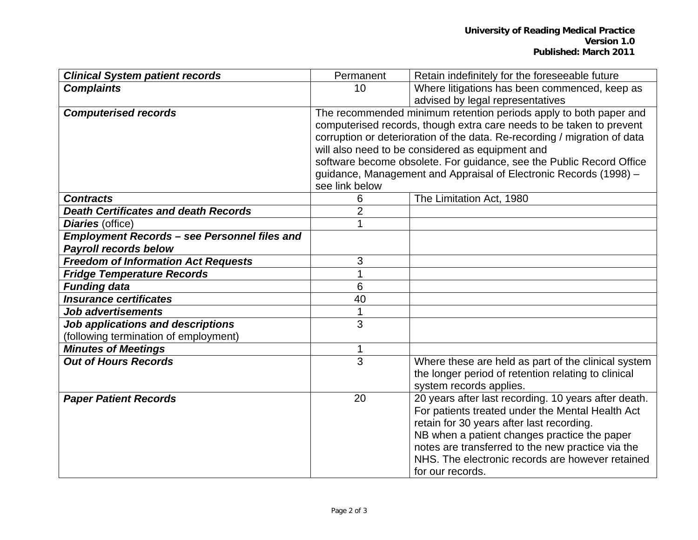| <b>Clinical System patient records</b>              | Permanent                                                                 | Retain indefinitely for the foreseeable future       |  |
|-----------------------------------------------------|---------------------------------------------------------------------------|------------------------------------------------------|--|
| <b>Complaints</b>                                   | 10                                                                        | Where litigations has been commenced, keep as        |  |
|                                                     |                                                                           | advised by legal representatives                     |  |
| <b>Computerised records</b>                         | The recommended minimum retention periods apply to both paper and         |                                                      |  |
|                                                     | computerised records, though extra care needs to be taken to prevent      |                                                      |  |
|                                                     | corruption or deterioration of the data. Re-recording / migration of data |                                                      |  |
|                                                     | will also need to be considered as equipment and                          |                                                      |  |
|                                                     | software become obsolete. For guidance, see the Public Record Office      |                                                      |  |
|                                                     | guidance, Management and Appraisal of Electronic Records (1998) -         |                                                      |  |
|                                                     | see link below                                                            |                                                      |  |
| <b>Contracts</b>                                    | 6                                                                         | The Limitation Act, 1980                             |  |
| <b>Death Certificates and death Records</b>         | $\overline{2}$                                                            |                                                      |  |
| Diaries (office)                                    | 1                                                                         |                                                      |  |
| <b>Employment Records - see Personnel files and</b> |                                                                           |                                                      |  |
| <b>Payroll records below</b>                        |                                                                           |                                                      |  |
| <b>Freedom of Information Act Requests</b>          | 3                                                                         |                                                      |  |
| <b>Fridge Temperature Records</b>                   | 1                                                                         |                                                      |  |
| <b>Funding data</b>                                 | 6                                                                         |                                                      |  |
| <b>Insurance certificates</b>                       | 40                                                                        |                                                      |  |
| <b>Job advertisements</b>                           | $\mathbf{1}$                                                              |                                                      |  |
| Job applications and descriptions                   | 3                                                                         |                                                      |  |
| (following termination of employment)               |                                                                           |                                                      |  |
| <b>Minutes of Meetings</b>                          |                                                                           |                                                      |  |
| <b>Out of Hours Records</b>                         | 3                                                                         | Where these are held as part of the clinical system  |  |
|                                                     |                                                                           | the longer period of retention relating to clinical  |  |
|                                                     |                                                                           | system records applies.                              |  |
| <b>Paper Patient Records</b>                        | 20                                                                        | 20 years after last recording. 10 years after death. |  |
|                                                     |                                                                           | For patients treated under the Mental Health Act     |  |
|                                                     |                                                                           | retain for 30 years after last recording.            |  |
|                                                     |                                                                           | NB when a patient changes practice the paper         |  |
|                                                     |                                                                           | notes are transferred to the new practice via the    |  |
|                                                     |                                                                           | NHS. The electronic records are however retained     |  |
|                                                     |                                                                           | for our records.                                     |  |